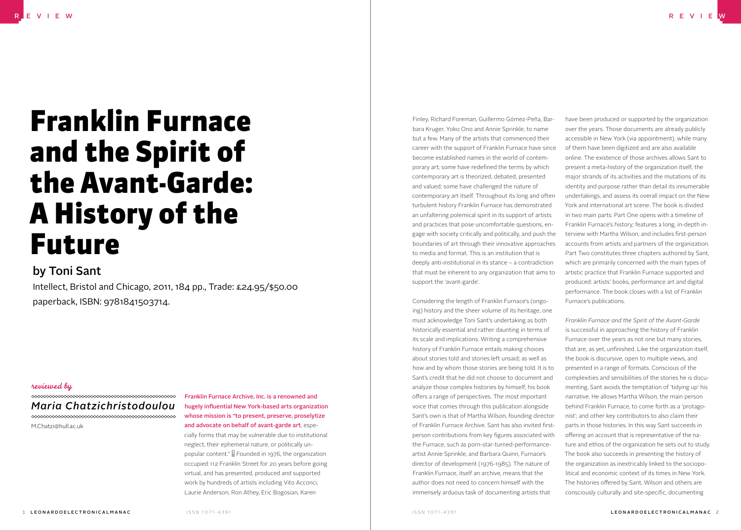# Franklin Furnace and the Spirit of the Avant-Garde: A History of the Future

# by Toni Sant

Intellect, Bristol and Chicago, 2011, 184 pp., Trade: £24.95/\$50.00 paperback, ISBN: 9781841503714.

## reviewed by

#### *Maria Chatzichristodoulou*

M.Chatzi@hull.ac.uk

### Franklin Furnace Archive, Inc. is a renowned and hugely influential New York-based arts organization whose mission is "to present, preserve, proselytize and advocate on behalf of avant-garde art, especially forms that may be vulnerable due to institutional neglect, their ephemeral nature, or politically unpopular content." 1 Founded in 1976, the organization occupied 112 Franklin Street for 20 years before going virtual, and has presented, produced and supported work by hundreds of artists including Vito Acconci,

Laurie Anderson, Ron Athey, Eric Bogosian, Karen

Finley, Richard Foreman, Guillermo Gómez-Peña, Barbara Kruger, Yoko Ono and Annie Sprinkle, to name but a few. Many of the artists that commenced their career with the support of Franklin Furnace have since become established names in the world of contemporary art; some have redefined the terms by which contemporary art is theorized, debated, presented and valued; some have challenged the nature of contemporary art itself. Throughout its long and often turbulent history Franklin Furnace has demonstrated an unfaltering polemical spirit in its support of artists and practices that pose uncomfortable questions, engage with society critically and politically, and push the boundaries of art through their innovative approaches to media and format. This is an institution that is deeply anti-institutional in its stance – a contradiction that must be inherent to any organization that aims to support the 'avant-garde'.

Considering the length of Franklin Furnace's (ongoing) history and the sheer volume of its heritage, one must acknowledge Toni Sant's undertaking as both historically essential and rather daunting in terms of its scale and implications. Writing a comprehensive history of Franklin Furnace entails making choices about stories told and stories left unsaid; as well as how and by whom those stories are being told. It is to Sant's credit that he did not choose to document and analyze those complex histories by himself; his book offers a range of perspectives. The most important voice that comes through this publication alongside Sant's own is that of Martha Wilson, founding director of Franklin Furnace Archive. Sant has also invited firstperson contributions from key figures associated with the Furnace, such as porn-star-turned-performanceartist Annie Sprinkle, and Barbara Quinn, Furnace's director of development (1976-1985). The nature of Franklin Furnace, itself an archive, means that the author does not need to concern himself with the immensely arduous task of documenting artists that

have been produced or supported by the organization over the years. Those documents are already publicly accessible in New York (via appointment), while many of them have been digitized and are also available online. The existence of those archives allows Sant to present a meta-history of the organization itself, the major strands of its activities and the mutations of its identity and purpose rather than detail its innumerable undertakings, and assess its overall impact on the New York and international art scene. The book is divided in two main parts: Part One opens with a timeline of Franklin Furnace's history; features a long, in-depth interview with Martha Wilson; and includes first-person accounts from artists and partners of the organization. Part Two constitutes three chapters authored by Sant, which are primarily concerned with the main types of artistic practice that Franklin Furnace supported and produced: artists' books, performance art and digital performance. The book closes with a list of Franklin Furnace's publications.

*Franklin Furnace and the Spirit of the Avant-Garde* is successful in approaching the history of Franklin Furnace over the years as not one but many stories, that are, as yet, unfinished. Like the organization itself, the book is discursive, open to multiple views, and presented in a range of formats. Conscious of the complexities and sensibilities of the stories he is documenting, Sant avoids the temptation of 'tidying up' his narrative. He allows Martha Wilson, the main person behind Franklin Furnace, to come forth as a 'protagonist'; and other key contributors to also claim their parts in those histories. In this way Sant succeeds in offering an account that is representative of the nature and ethos of the organization he sets out to study. The book also succeeds in presenting the history of the organization as inextricably linked to the sociopolitical and economic context of its times in New York. The histories offered by Sant, Wilson and others are consciously culturally and site-specific, documenting